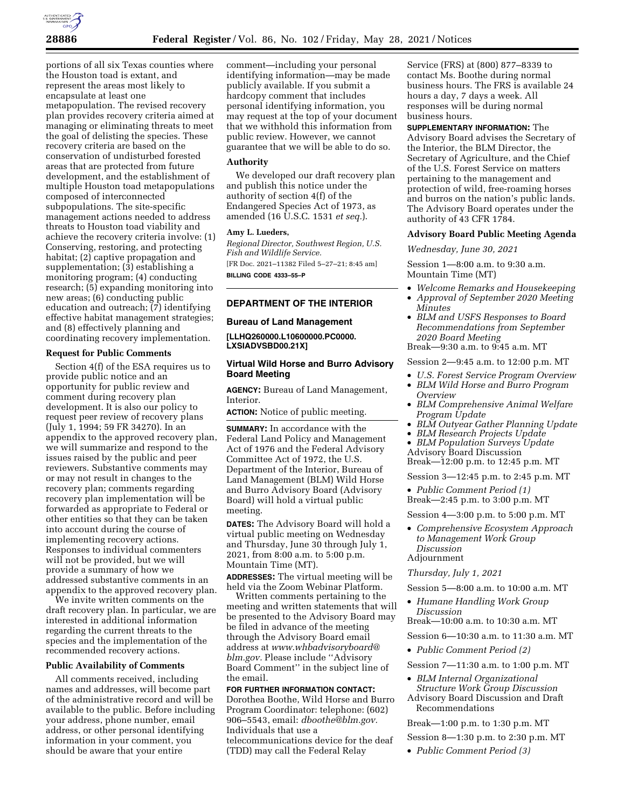

portions of all six Texas counties where the Houston toad is extant, and represent the areas most likely to encapsulate at least one metapopulation. The revised recovery plan provides recovery criteria aimed at managing or eliminating threats to meet the goal of delisting the species. These recovery criteria are based on the conservation of undisturbed forested areas that are protected from future development, and the establishment of multiple Houston toad metapopulations composed of interconnected subpopulations. The site-specific management actions needed to address threats to Houston toad viability and achieve the recovery criteria involve: (1) Conserving, restoring, and protecting habitat; (2) captive propagation and supplementation; (3) establishing a monitoring program; (4) conducting research; (5) expanding monitoring into new areas; (6) conducting public education and outreach; (7) identifying effective habitat management strategies; and (8) effectively planning and coordinating recovery implementation.

### **Request for Public Comments**

Section 4(f) of the ESA requires us to provide public notice and an opportunity for public review and comment during recovery plan development. It is also our policy to request peer review of recovery plans (July 1, 1994; 59 FR 34270). In an appendix to the approved recovery plan, we will summarize and respond to the issues raised by the public and peer reviewers. Substantive comments may or may not result in changes to the recovery plan; comments regarding recovery plan implementation will be forwarded as appropriate to Federal or other entities so that they can be taken into account during the course of implementing recovery actions. Responses to individual commenters will not be provided, but we will provide a summary of how we addressed substantive comments in an appendix to the approved recovery plan.

We invite written comments on the draft recovery plan. In particular, we are interested in additional information regarding the current threats to the species and the implementation of the recommended recovery actions.

### **Public Availability of Comments**

All comments received, including names and addresses, will become part of the administrative record and will be available to the public. Before including your address, phone number, email address, or other personal identifying information in your comment, you should be aware that your entire

comment—including your personal identifying information—may be made publicly available. If you submit a hardcopy comment that includes personal identifying information, you may request at the top of your document that we withhold this information from public review. However, we cannot guarantee that we will be able to do so.

### **Authority**

We developed our draft recovery plan and publish this notice under the authority of section 4(f) of the Endangered Species Act of 1973, as amended (16 U.S.C. 1531 *et seq.*).

### **Amy L. Lueders,**

*Regional Director, Southwest Region, U.S. Fish and Wildlife Service.*  [FR Doc. 2021–11382 Filed 5–27–21; 8:45 am]

**BILLING CODE 4333–55–P** 

## **DEPARTMENT OF THE INTERIOR**

#### **Bureau of Land Management**

**[LLHQ260000.L10600000.PC0000. LXSIADVSBD00.21X]** 

# **Virtual Wild Horse and Burro Advisory Board Meeting**

**AGENCY:** Bureau of Land Management, Interior.

**ACTION:** Notice of public meeting.

**SUMMARY:** In accordance with the Federal Land Policy and Management Act of 1976 and the Federal Advisory Committee Act of 1972, the U.S. Department of the Interior, Bureau of Land Management (BLM) Wild Horse and Burro Advisory Board (Advisory Board) will hold a virtual public meeting.

**DATES:** The Advisory Board will hold a virtual public meeting on Wednesday and Thursday, June 30 through July 1, 2021, from 8:00 a.m. to 5:00 p.m. Mountain Time (MT).

**ADDRESSES:** The virtual meeting will be held via the Zoom Webinar Platform.

Written comments pertaining to the meeting and written statements that will be presented to the Advisory Board may be filed in advance of the meeting through the Advisory Board email address at *<www.whbadvisoryboard>@ blm.gov.* Please include ''Advisory Board Comment'' in the subject line of the email.

## **FOR FURTHER INFORMATION CONTACT:**  Dorothea Boothe, Wild Horse and Burro Program Coordinator: telephone: (602) 906–5543, email: *[dboothe@blm.gov.](mailto:dboothe@blm.gov)*  Individuals that use a telecommunications device for the deaf (TDD) may call the Federal Relay

Service (FRS) at (800) 877–8339 to contact Ms. Boothe during normal business hours. The FRS is available 24 hours a day, 7 days a week. All responses will be during normal business hours.

# **SUPPLEMENTARY INFORMATION:** The

Advisory Board advises the Secretary of the Interior, the BLM Director, the Secretary of Agriculture, and the Chief of the U.S. Forest Service on matters pertaining to the management and protection of wild, free-roaming horses and burros on the nation's public lands. The Advisory Board operates under the authority of 43 CFR 1784.

# **Advisory Board Public Meeting Agenda**

*Wednesday, June 30, 2021* 

Session 1—8:00 a.m. to 9:30 a.m. Mountain Time (MT)

- *Welcome Remarks and Housekeeping*
- *Approval of September 2020 Meeting Minutes*
- *BLM and USFS Responses to Board Recommendations from September 2020 Board Meeting*

Break—9:30 a.m. to 9:45 a.m. MT

Session 2—9:45 a.m. to 12:00 p.m. MT

- *U.S. Forest Service Program Overview*
- *BLM Wild Horse and Burro Program Overview*
- *BLM Comprehensive Animal Welfare Program Update*
- *BLM Outyear Gather Planning Update*
- *BLM Research Projects Update*
- *BLM Population Surveys Update*  Advisory Board Discussion

Break—12:00 p.m. to 12:45 p.m. MT

Session 3—12:45 p.m. to 2:45 p.m. MT

• *Public Comment Period (1)*  Break—2:45 p.m. to 3:00 p.m. MT

Session 4—3:00 p.m. to 5:00 p.m. MT

• *Comprehensive Ecosystem Approach to Management Work Group Discussion*  Adjournment

# *Thursday, July 1, 2021*

- Session 5—8:00 a.m. to 10:00 a.m. MT
- *Humane Handling Work Group Discussion*

Break—10:00 a.m. to 10:30 a.m. MT

Session 6—10:30 a.m. to 11:30 a.m. MT

• *Public Comment Period (2)* 

Session 7—11:30 a.m. to 1:00 p.m. MT

• *BLM Internal Organizational Structure Work Group Discussion*  Advisory Board Discussion and Draft Recommendations

Break—1:00 p.m. to 1:30 p.m. MT

Session 8—1:30 p.m. to 2:30 p.m. MT

• *Public Comment Period (3)*